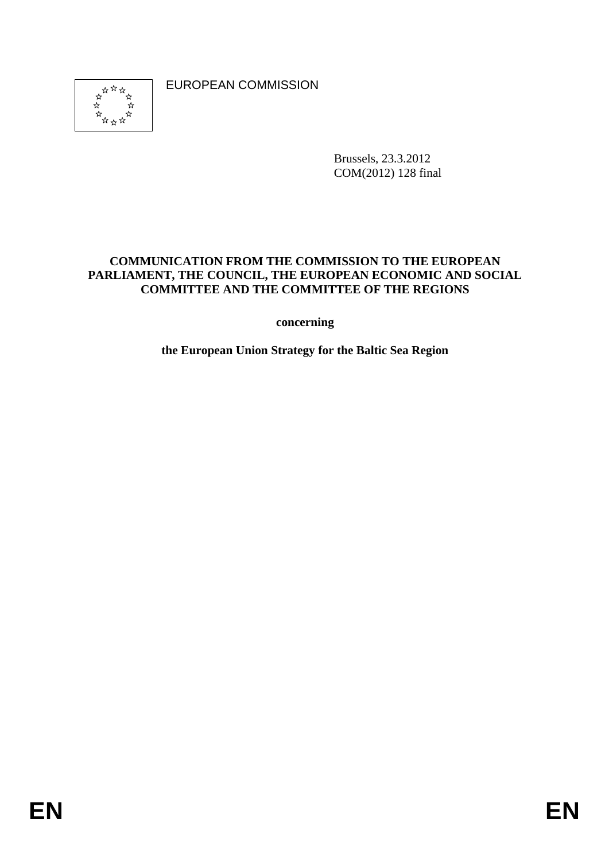EUROPEAN COMMISSION

Brussels, 23.3.2012 COM(2012) 128 final

#### **COMMUNICATION FROM THE COMMISSION TO THE EUROPEAN PARLIAMENT, THE COUNCIL, THE EUROPEAN ECONOMIC AND SOCIAL COMMITTEE AND THE COMMITTEE OF THE REGIONS**

**concerning** 

**the European Union Strategy for the Baltic Sea Region**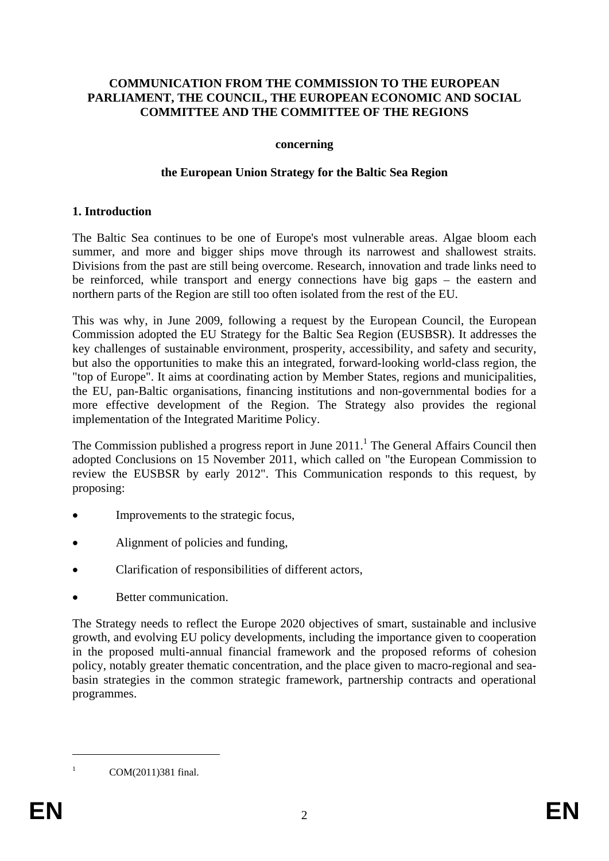#### **COMMUNICATION FROM THE COMMISSION TO THE EUROPEAN PARLIAMENT, THE COUNCIL, THE EUROPEAN ECONOMIC AND SOCIAL COMMITTEE AND THE COMMITTEE OF THE REGIONS**

#### **concerning**

#### **the European Union Strategy for the Baltic Sea Region**

#### **1. Introduction**

The Baltic Sea continues to be one of Europe's most vulnerable areas. Algae bloom each summer, and more and bigger ships move through its narrowest and shallowest straits. Divisions from the past are still being overcome. Research, innovation and trade links need to be reinforced, while transport and energy connections have big gaps – the eastern and northern parts of the Region are still too often isolated from the rest of the EU.

This was why, in June 2009, following a request by the European Council, the European Commission adopted the EU Strategy for the Baltic Sea Region (EUSBSR). It addresses the key challenges of sustainable environment, prosperity, accessibility, and safety and security, but also the opportunities to make this an integrated, forward-looking world-class region, the "top of Europe". It aims at coordinating action by Member States, regions and municipalities, the EU, pan-Baltic organisations, financing institutions and non-governmental bodies for a more effective development of the Region. The Strategy also provides the regional implementation of the Integrated Maritime Policy.

The Commission published a progress report in June  $2011$ .<sup>1</sup> The General Affairs Council then adopted Conclusions on 15 November 2011, which called on "the European Commission to review the EUSBSR by early 2012". This Communication responds to this request, by proposing:

- Improvements to the strategic focus,
- Alignment of policies and funding,
- Clarification of responsibilities of different actors,
- Better communication.

The Strategy needs to reflect the Europe 2020 objectives of smart, sustainable and inclusive growth, and evolving EU policy developments, including the importance given to cooperation in the proposed multi-annual financial framework and the proposed reforms of cohesion policy, notably greater thematic concentration, and the place given to macro-regional and seabasin strategies in the common strategic framework, partnership contracts and operational programmes.

1 1

COM(2011)381 final.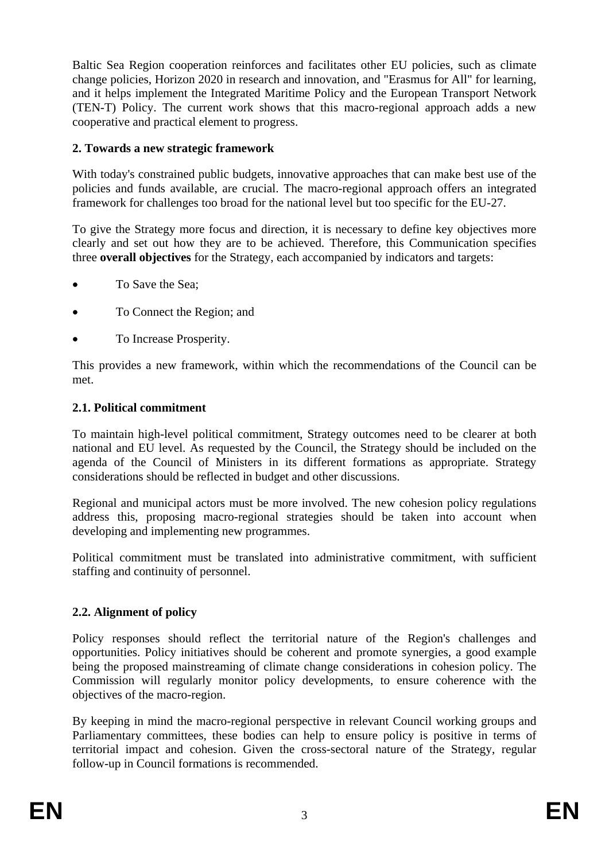Baltic Sea Region cooperation reinforces and facilitates other EU policies, such as climate change policies, Horizon 2020 in research and innovation, and "Erasmus for All" for learning, and it helps implement the Integrated Maritime Policy and the European Transport Network (TEN-T) Policy. The current work shows that this macro-regional approach adds a new cooperative and practical element to progress.

## **2. Towards a new strategic framework**

With today's constrained public budgets, innovative approaches that can make best use of the policies and funds available, are crucial. The macro-regional approach offers an integrated framework for challenges too broad for the national level but too specific for the EU-27.

To give the Strategy more focus and direction, it is necessary to define key objectives more clearly and set out how they are to be achieved. Therefore, this Communication specifies three **overall objectives** for the Strategy, each accompanied by indicators and targets:

- To Save the Sea;
- To Connect the Region; and
- To Increase Prosperity.

This provides a new framework, within which the recommendations of the Council can be met.

## **2.1. Political commitment**

To maintain high-level political commitment, Strategy outcomes need to be clearer at both national and EU level. As requested by the Council, the Strategy should be included on the agenda of the Council of Ministers in its different formations as appropriate. Strategy considerations should be reflected in budget and other discussions.

Regional and municipal actors must be more involved. The new cohesion policy regulations address this, proposing macro-regional strategies should be taken into account when developing and implementing new programmes.

Political commitment must be translated into administrative commitment, with sufficient staffing and continuity of personnel.

# **2.2. Alignment of policy**

Policy responses should reflect the territorial nature of the Region's challenges and opportunities. Policy initiatives should be coherent and promote synergies, a good example being the proposed mainstreaming of climate change considerations in cohesion policy. The Commission will regularly monitor policy developments, to ensure coherence with the objectives of the macro-region.

By keeping in mind the macro-regional perspective in relevant Council working groups and Parliamentary committees, these bodies can help to ensure policy is positive in terms of territorial impact and cohesion. Given the cross-sectoral nature of the Strategy, regular follow-up in Council formations is recommended.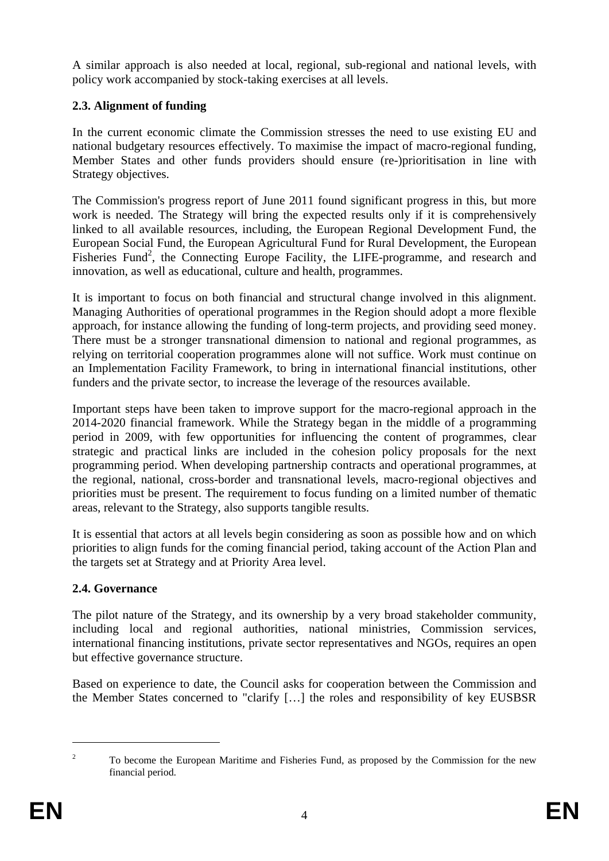A similar approach is also needed at local, regional, sub-regional and national levels, with policy work accompanied by stock-taking exercises at all levels.

# **2.3. Alignment of funding**

In the current economic climate the Commission stresses the need to use existing EU and national budgetary resources effectively. To maximise the impact of macro-regional funding, Member States and other funds providers should ensure (re-)prioritisation in line with Strategy objectives.

The Commission's progress report of June 2011 found significant progress in this, but more work is needed. The Strategy will bring the expected results only if it is comprehensively linked to all available resources, including, the European Regional Development Fund, the European Social Fund, the European Agricultural Fund for Rural Development, the European Fisheries Fund<sup>2</sup>, the Connecting Europe Facility, the LIFE-programme, and research and innovation, as well as educational, culture and health, programmes.

It is important to focus on both financial and structural change involved in this alignment. Managing Authorities of operational programmes in the Region should adopt a more flexible approach, for instance allowing the funding of long-term projects, and providing seed money. There must be a stronger transnational dimension to national and regional programmes, as relying on territorial cooperation programmes alone will not suffice. Work must continue on an Implementation Facility Framework, to bring in international financial institutions, other funders and the private sector, to increase the leverage of the resources available.

Important steps have been taken to improve support for the macro-regional approach in the 2014-2020 financial framework. While the Strategy began in the middle of a programming period in 2009, with few opportunities for influencing the content of programmes, clear strategic and practical links are included in the cohesion policy proposals for the next programming period. When developing partnership contracts and operational programmes, at the regional, national, cross-border and transnational levels, macro-regional objectives and priorities must be present. The requirement to focus funding on a limited number of thematic areas, relevant to the Strategy, also supports tangible results.

It is essential that actors at all levels begin considering as soon as possible how and on which priorities to align funds for the coming financial period, taking account of the Action Plan and the targets set at Strategy and at Priority Area level.

### **2.4. Governance**

The pilot nature of the Strategy, and its ownership by a very broad stakeholder community, including local and regional authorities, national ministries, Commission services, international financing institutions, private sector representatives and NGOs, requires an open but effective governance structure.

Based on experience to date, the Council asks for cooperation between the Commission and the Member States concerned to "clarify […] the roles and responsibility of key EUSBSR

<u>.</u>

 $\overline{2}$  To become the European Maritime and Fisheries Fund, as proposed by the Commission for the new financial period.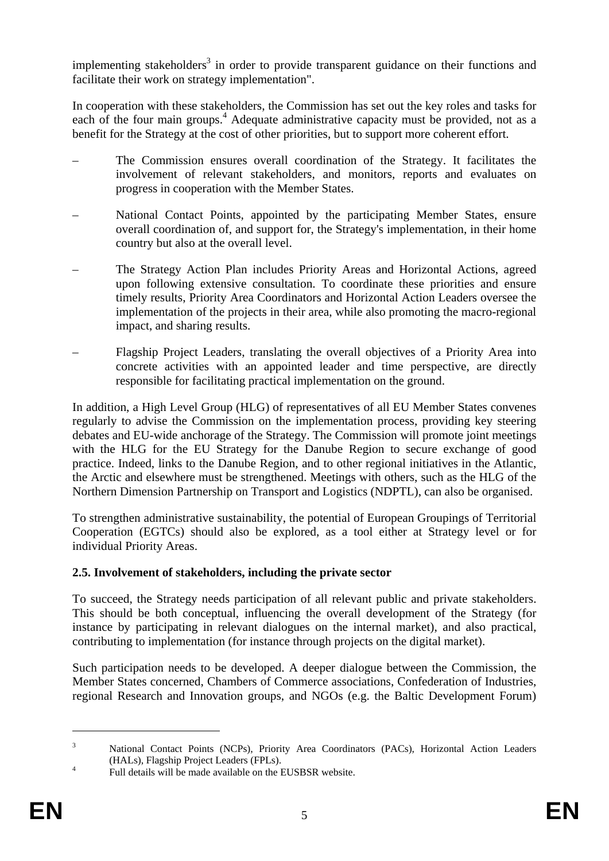implementing stakeholders<sup>3</sup> in order to provide transparent guidance on their functions and facilitate their work on strategy implementation".

In cooperation with these stakeholders, the Commission has set out the key roles and tasks for each of the four main groups.<sup>4</sup> Adequate administrative capacity must be provided, not as a benefit for the Strategy at the cost of other priorities, but to support more coherent effort.

- The Commission ensures overall coordination of the Strategy. It facilitates the involvement of relevant stakeholders, and monitors, reports and evaluates on progress in cooperation with the Member States.
- National Contact Points, appointed by the participating Member States, ensure overall coordination of, and support for, the Strategy's implementation, in their home country but also at the overall level.
- The Strategy Action Plan includes Priority Areas and Horizontal Actions, agreed upon following extensive consultation. To coordinate these priorities and ensure timely results, Priority Area Coordinators and Horizontal Action Leaders oversee the implementation of the projects in their area, while also promoting the macro-regional impact, and sharing results.
- Flagship Project Leaders, translating the overall objectives of a Priority Area into concrete activities with an appointed leader and time perspective, are directly responsible for facilitating practical implementation on the ground.

In addition, a High Level Group (HLG) of representatives of all EU Member States convenes regularly to advise the Commission on the implementation process, providing key steering debates and EU-wide anchorage of the Strategy. The Commission will promote joint meetings with the HLG for the EU Strategy for the Danube Region to secure exchange of good practice. Indeed, links to the Danube Region, and to other regional initiatives in the Atlantic, the Arctic and elsewhere must be strengthened. Meetings with others, such as the HLG of the Northern Dimension Partnership on Transport and Logistics (NDPTL), can also be organised.

To strengthen administrative sustainability, the potential of European Groupings of Territorial Cooperation (EGTCs) should also be explored, as a tool either at Strategy level or for individual Priority Areas.

### **2.5. Involvement of stakeholders, including the private sector**

To succeed, the Strategy needs participation of all relevant public and private stakeholders. This should be both conceptual, influencing the overall development of the Strategy (for instance by participating in relevant dialogues on the internal market), and also practical, contributing to implementation (for instance through projects on the digital market).

Such participation needs to be developed. A deeper dialogue between the Commission, the Member States concerned, Chambers of Commerce associations, Confederation of Industries, regional Research and Innovation groups, and NGOs (e.g. the Baltic Development Forum)

1

<sup>3</sup> National Contact Points (NCPs), Priority Area Coordinators (PACs), Horizontal Action Leaders (HALs), Flagship Project Leaders (FPLs). 4

Full details will be made available on the EUSBSR website.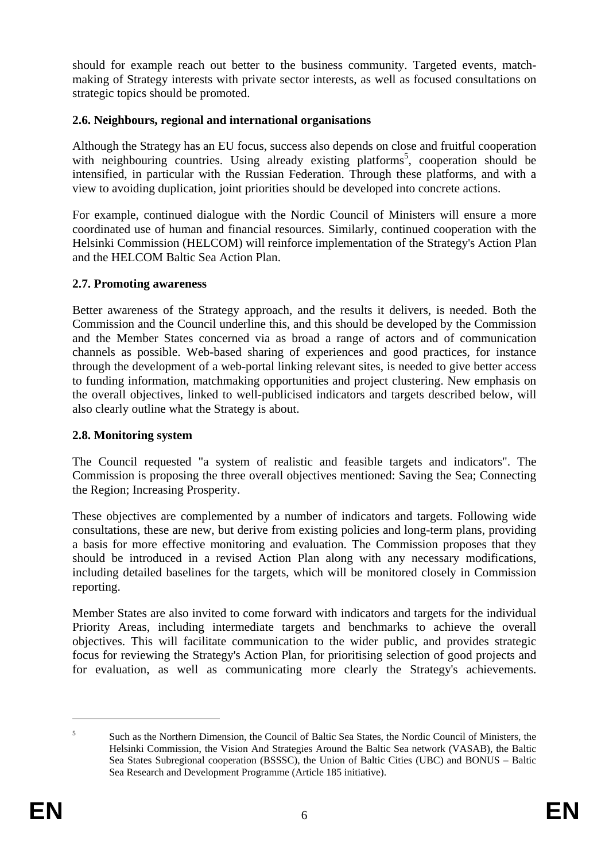should for example reach out better to the business community. Targeted events, matchmaking of Strategy interests with private sector interests, as well as focused consultations on strategic topics should be promoted.

### **2.6. Neighbours, regional and international organisations**

Although the Strategy has an EU focus, success also depends on close and fruitful cooperation with neighbouring countries. Using already existing platforms<sup>5</sup>, cooperation should be intensified, in particular with the Russian Federation. Through these platforms, and with a view to avoiding duplication, joint priorities should be developed into concrete actions.

For example, continued dialogue with the Nordic Council of Ministers will ensure a more coordinated use of human and financial resources. Similarly, continued cooperation with the Helsinki Commission (HELCOM) will reinforce implementation of the Strategy's Action Plan and the HELCOM Baltic Sea Action Plan.

### **2.7. Promoting awareness**

Better awareness of the Strategy approach, and the results it delivers, is needed. Both the Commission and the Council underline this, and this should be developed by the Commission and the Member States concerned via as broad a range of actors and of communication channels as possible. Web-based sharing of experiences and good practices, for instance through the development of a web-portal linking relevant sites, is needed to give better access to funding information, matchmaking opportunities and project clustering. New emphasis on the overall objectives, linked to well-publicised indicators and targets described below, will also clearly outline what the Strategy is about.

### **2.8. Monitoring system**

The Council requested "a system of realistic and feasible targets and indicators". The Commission is proposing the three overall objectives mentioned: Saving the Sea; Connecting the Region; Increasing Prosperity.

These objectives are complemented by a number of indicators and targets. Following wide consultations, these are new, but derive from existing policies and long-term plans, providing a basis for more effective monitoring and evaluation. The Commission proposes that they should be introduced in a revised Action Plan along with any necessary modifications, including detailed baselines for the targets, which will be monitored closely in Commission reporting.

Member States are also invited to come forward with indicators and targets for the individual Priority Areas, including intermediate targets and benchmarks to achieve the overall objectives. This will facilitate communication to the wider public, and provides strategic focus for reviewing the Strategy's Action Plan, for prioritising selection of good projects and for evaluation, as well as communicating more clearly the Strategy's achievements.

1

<sup>5</sup> Such as the Northern Dimension, the Council of Baltic Sea States, the Nordic Council of Ministers, the Helsinki Commission, the Vision And Strategies Around the Baltic Sea network (VASAB), the Baltic Sea States Subregional cooperation (BSSSC), the Union of Baltic Cities (UBC) and BONUS – Baltic Sea Research and Development Programme (Article 185 initiative).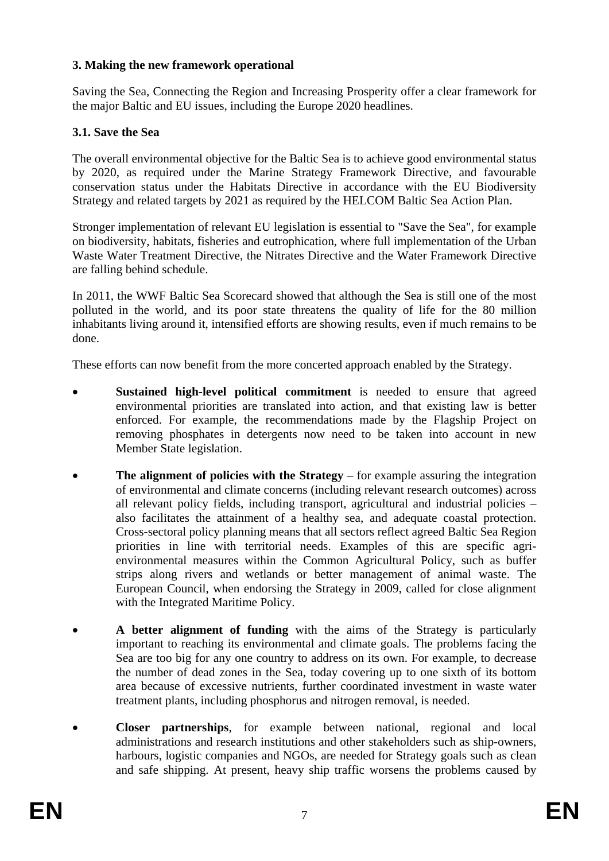#### **3. Making the new framework operational**

Saving the Sea, Connecting the Region and Increasing Prosperity offer a clear framework for the major Baltic and EU issues, including the Europe 2020 headlines.

#### **3.1. Save the Sea**

The overall environmental objective for the Baltic Sea is to achieve good environmental status by 2020, as required under the Marine Strategy Framework Directive, and favourable conservation status under the Habitats Directive in accordance with the EU Biodiversity Strategy and related targets by 2021 as required by the HELCOM Baltic Sea Action Plan.

Stronger implementation of relevant EU legislation is essential to "Save the Sea", for example on biodiversity, habitats, fisheries and eutrophication, where full implementation of the Urban Waste Water Treatment Directive, the Nitrates Directive and the Water Framework Directive are falling behind schedule.

In 2011, the WWF Baltic Sea Scorecard showed that although the Sea is still one of the most polluted in the world, and its poor state threatens the quality of life for the 80 million inhabitants living around it, intensified efforts are showing results, even if much remains to be done.

These efforts can now benefit from the more concerted approach enabled by the Strategy.

- **Sustained high-level political commitment** is needed to ensure that agreed environmental priorities are translated into action, and that existing law is better enforced. For example, the recommendations made by the Flagship Project on removing phosphates in detergents now need to be taken into account in new Member State legislation.
- **The alignment of policies with the Strategy** for example assuring the integration of environmental and climate concerns (including relevant research outcomes) across all relevant policy fields, including transport, agricultural and industrial policies – also facilitates the attainment of a healthy sea, and adequate coastal protection. Cross-sectoral policy planning means that all sectors reflect agreed Baltic Sea Region priorities in line with territorial needs. Examples of this are specific agrienvironmental measures within the Common Agricultural Policy, such as buffer strips along rivers and wetlands or better management of animal waste. The European Council, when endorsing the Strategy in 2009, called for close alignment with the Integrated Maritime Policy.
- **A better alignment of funding** with the aims of the Strategy is particularly important to reaching its environmental and climate goals. The problems facing the Sea are too big for any one country to address on its own. For example, to decrease the number of dead zones in the Sea, today covering up to one sixth of its bottom area because of excessive nutrients, further coordinated investment in waste water treatment plants, including phosphorus and nitrogen removal, is needed.
- **Closer partnerships**, for example between national, regional and local administrations and research institutions and other stakeholders such as ship-owners, harbours, logistic companies and NGOs, are needed for Strategy goals such as clean and safe shipping. At present, heavy ship traffic worsens the problems caused by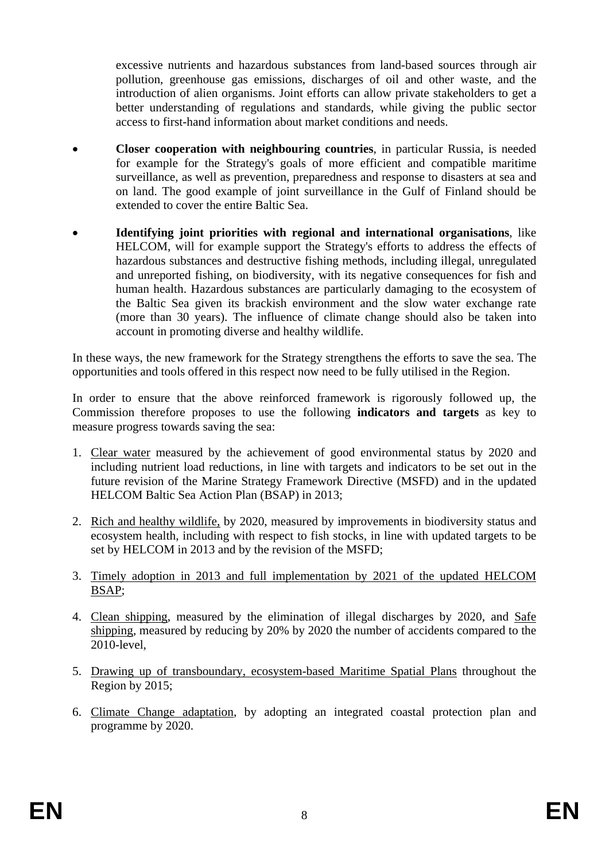excessive nutrients and hazardous substances from land-based sources through air pollution, greenhouse gas emissions, discharges of oil and other waste, and the introduction of alien organisms. Joint efforts can allow private stakeholders to get a better understanding of regulations and standards, while giving the public sector access to first-hand information about market conditions and needs.

- **Closer cooperation with neighbouring countries**, in particular Russia, is needed for example for the Strategy's goals of more efficient and compatible maritime surveillance, as well as prevention, preparedness and response to disasters at sea and on land. The good example of joint surveillance in the Gulf of Finland should be extended to cover the entire Baltic Sea.
- **Identifying joint priorities with regional and international organisations**, like HELCOM, will for example support the Strategy's efforts to address the effects of hazardous substances and destructive fishing methods, including illegal, unregulated and unreported fishing, on biodiversity, with its negative consequences for fish and human health. Hazardous substances are particularly damaging to the ecosystem of the Baltic Sea given its brackish environment and the slow water exchange rate (more than 30 years). The influence of climate change should also be taken into account in promoting diverse and healthy wildlife.

In these ways, the new framework for the Strategy strengthens the efforts to save the sea. The opportunities and tools offered in this respect now need to be fully utilised in the Region.

In order to ensure that the above reinforced framework is rigorously followed up, the Commission therefore proposes to use the following **indicators and targets** as key to measure progress towards saving the sea:

- 1. Clear water measured by the achievement of good environmental status by 2020 and including nutrient load reductions, in line with targets and indicators to be set out in the future revision of the Marine Strategy Framework Directive (MSFD) and in the updated HELCOM Baltic Sea Action Plan (BSAP) in 2013;
- 2. Rich and healthy wildlife, by 2020, measured by improvements in biodiversity status and ecosystem health, including with respect to fish stocks, in line with updated targets to be set by HELCOM in 2013 and by the revision of the MSFD;
- 3. Timely adoption in 2013 and full implementation by 2021 of the updated HELCOM BSAP;
- 4. Clean shipping, measured by the elimination of illegal discharges by 2020, and Safe shipping, measured by reducing by 20% by 2020 the number of accidents compared to the 2010-level,
- 5. Drawing up of transboundary, ecosystem-based Maritime Spatial Plans throughout the Region by 2015;
- 6. Climate Change adaptation, by adopting an integrated coastal protection plan and programme by 2020.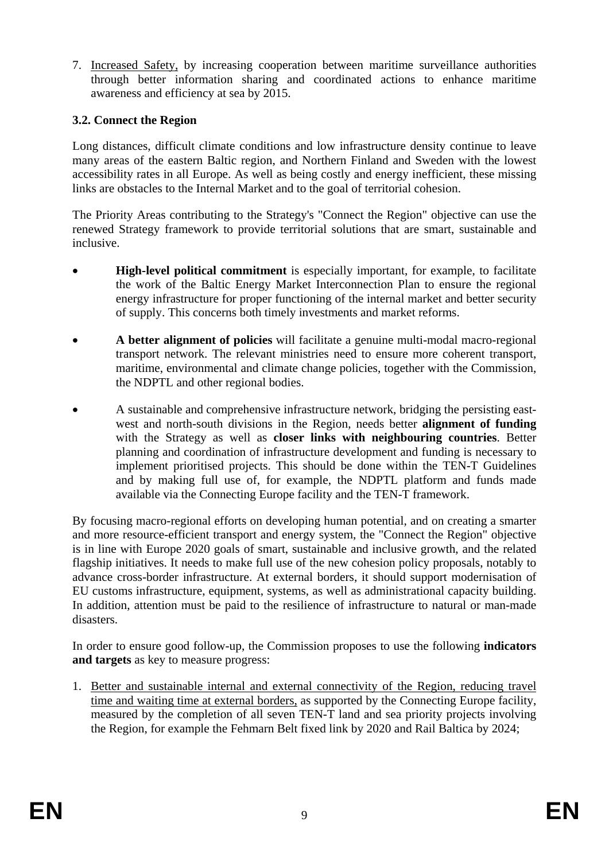7. Increased Safety, by increasing cooperation between maritime surveillance authorities through better information sharing and coordinated actions to enhance maritime awareness and efficiency at sea by 2015.

## **3.2. Connect the Region**

Long distances, difficult climate conditions and low infrastructure density continue to leave many areas of the eastern Baltic region, and Northern Finland and Sweden with the lowest accessibility rates in all Europe. As well as being costly and energy inefficient, these missing links are obstacles to the Internal Market and to the goal of territorial cohesion.

The Priority Areas contributing to the Strategy's "Connect the Region" objective can use the renewed Strategy framework to provide territorial solutions that are smart, sustainable and inclusive.

- **High-level political commitment** is especially important, for example, to facilitate the work of the Baltic Energy Market Interconnection Plan to ensure the regional energy infrastructure for proper functioning of the internal market and better security of supply. This concerns both timely investments and market reforms.
- **A better alignment of policies** will facilitate a genuine multi-modal macro-regional transport network. The relevant ministries need to ensure more coherent transport, maritime, environmental and climate change policies, together with the Commission, the NDPTL and other regional bodies.
- A sustainable and comprehensive infrastructure network, bridging the persisting eastwest and north-south divisions in the Region, needs better **alignment of funding** with the Strategy as well as **closer links with neighbouring countries**. Better planning and coordination of infrastructure development and funding is necessary to implement prioritised projects. This should be done within the TEN-T Guidelines and by making full use of, for example, the NDPTL platform and funds made available via the Connecting Europe facility and the TEN-T framework.

By focusing macro-regional efforts on developing human potential, and on creating a smarter and more resource-efficient transport and energy system, the "Connect the Region" objective is in line with Europe 2020 goals of smart, sustainable and inclusive growth, and the related flagship initiatives. It needs to make full use of the new cohesion policy proposals, notably to advance cross-border infrastructure. At external borders, it should support modernisation of EU customs infrastructure, equipment, systems, as well as administrational capacity building. In addition, attention must be paid to the resilience of infrastructure to natural or man-made disasters.

In order to ensure good follow-up, the Commission proposes to use the following **indicators and targets** as key to measure progress:

1. Better and sustainable internal and external connectivity of the Region, reducing travel time and waiting time at external borders, as supported by the Connecting Europe facility, measured by the completion of all seven TEN-T land and sea priority projects involving the Region, for example the Fehmarn Belt fixed link by 2020 and Rail Baltica by 2024;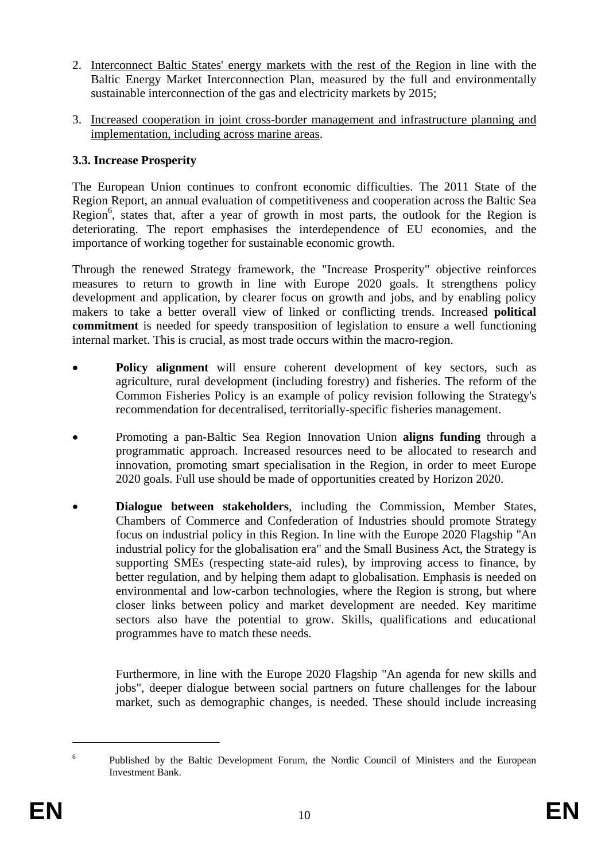- 2. Interconnect Baltic States' energy markets with the rest of the Region in line with the Baltic Energy Market Interconnection Plan, measured by the full and environmentally sustainable interconnection of the gas and electricity markets by 2015;
- 3. Increased cooperation in joint cross-border management and infrastructure planning and implementation, including across marine areas.

## **3.3. Increase Prosperity**

The European Union continues to confront economic difficulties. The 2011 State of the Region Report, an annual evaluation of competitiveness and cooperation across the Baltic Sea Region<sup>6</sup>, states that, after a year of growth in most parts, the outlook for the Region is deteriorating. The report emphasises the interdependence of EU economies, and the importance of working together for sustainable economic growth.

Through the renewed Strategy framework, the "Increase Prosperity" objective reinforces measures to return to growth in line with Europe 2020 goals. It strengthens policy development and application, by clearer focus on growth and jobs, and by enabling policy makers to take a better overall view of linked or conflicting trends. Increased **political commitment** is needed for speedy transposition of legislation to ensure a well functioning internal market. This is crucial, as most trade occurs within the macro-region.

- **Policy alignment** will ensure coherent development of key sectors, such as agriculture, rural development (including forestry) and fisheries. The reform of the Common Fisheries Policy is an example of policy revision following the Strategy's recommendation for decentralised, territorially-specific fisheries management.
- Promoting a pan-Baltic Sea Region Innovation Union **aligns funding** through a programmatic approach. Increased resources need to be allocated to research and innovation, promoting smart specialisation in the Region, in order to meet Europe 2020 goals. Full use should be made of opportunities created by Horizon 2020.
- **Dialogue between stakeholders**, including the Commission, Member States, Chambers of Commerce and Confederation of Industries should promote Strategy focus on industrial policy in this Region. In line with the Europe 2020 Flagship "An industrial policy for the globalisation era" and the Small Business Act, the Strategy is supporting SMEs (respecting state-aid rules), by improving access to finance, by better regulation, and by helping them adapt to globalisation. Emphasis is needed on environmental and low-carbon technologies, where the Region is strong, but where closer links between policy and market development are needed. Key maritime sectors also have the potential to grow. Skills, qualifications and educational programmes have to match these needs.

Furthermore, in line with the Europe 2020 Flagship "An agenda for new skills and jobs", deeper dialogue between social partners on future challenges for the labour market, such as demographic changes, is needed. These should include increasing

<u>.</u>

<sup>6</sup> Published by the Baltic Development Forum, the Nordic Council of Ministers and the European Investment Bank.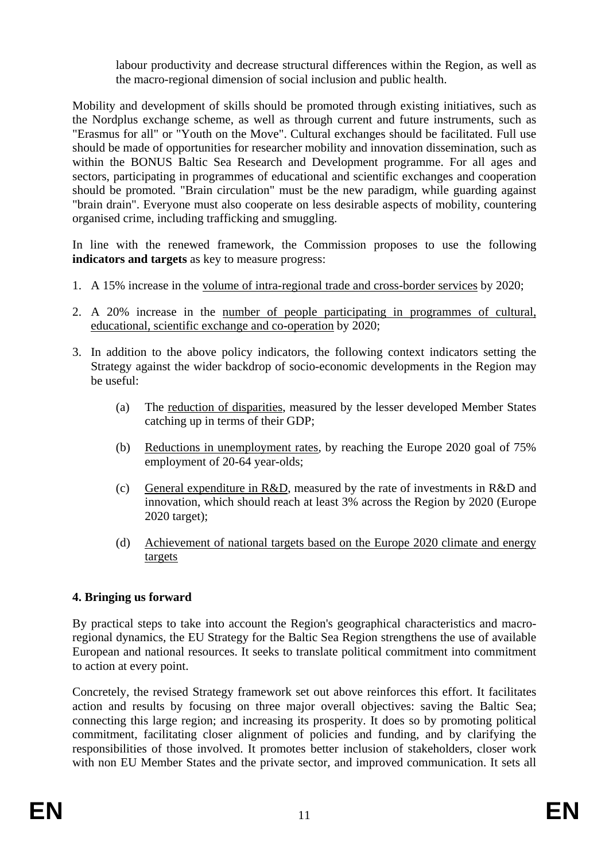labour productivity and decrease structural differences within the Region, as well as the macro-regional dimension of social inclusion and public health.

Mobility and development of skills should be promoted through existing initiatives, such as the Nordplus exchange scheme, as well as through current and future instruments, such as "Erasmus for all" or "Youth on the Move". Cultural exchanges should be facilitated. Full use should be made of opportunities for researcher mobility and innovation dissemination, such as within the BONUS Baltic Sea Research and Development programme. For all ages and sectors, participating in programmes of educational and scientific exchanges and cooperation should be promoted. "Brain circulation" must be the new paradigm, while guarding against "brain drain". Everyone must also cooperate on less desirable aspects of mobility, countering organised crime, including trafficking and smuggling.

In line with the renewed framework, the Commission proposes to use the following **indicators and targets** as key to measure progress:

- 1. A 15% increase in the volume of intra-regional trade and cross-border services by 2020;
- 2. A 20% increase in the number of people participating in programmes of cultural, educational, scientific exchange and co-operation by 2020;
- 3. In addition to the above policy indicators, the following context indicators setting the Strategy against the wider backdrop of socio-economic developments in the Region may be useful:
	- (a) The reduction of disparities, measured by the lesser developed Member States catching up in terms of their GDP;
	- (b) Reductions in unemployment rates, by reaching the Europe 2020 goal of 75% employment of 20-64 year-olds;
	- (c) General expenditure in R&D, measured by the rate of investments in R&D and innovation, which should reach at least 3% across the Region by 2020 (Europe 2020 target);
	- (d) Achievement of national targets based on the Europe 2020 climate and energy targets

# **4. Bringing us forward**

By practical steps to take into account the Region's geographical characteristics and macroregional dynamics, the EU Strategy for the Baltic Sea Region strengthens the use of available European and national resources. It seeks to translate political commitment into commitment to action at every point.

Concretely, the revised Strategy framework set out above reinforces this effort. It facilitates action and results by focusing on three major overall objectives: saving the Baltic Sea; connecting this large region; and increasing its prosperity. It does so by promoting political commitment, facilitating closer alignment of policies and funding, and by clarifying the responsibilities of those involved. It promotes better inclusion of stakeholders, closer work with non EU Member States and the private sector, and improved communication. It sets all